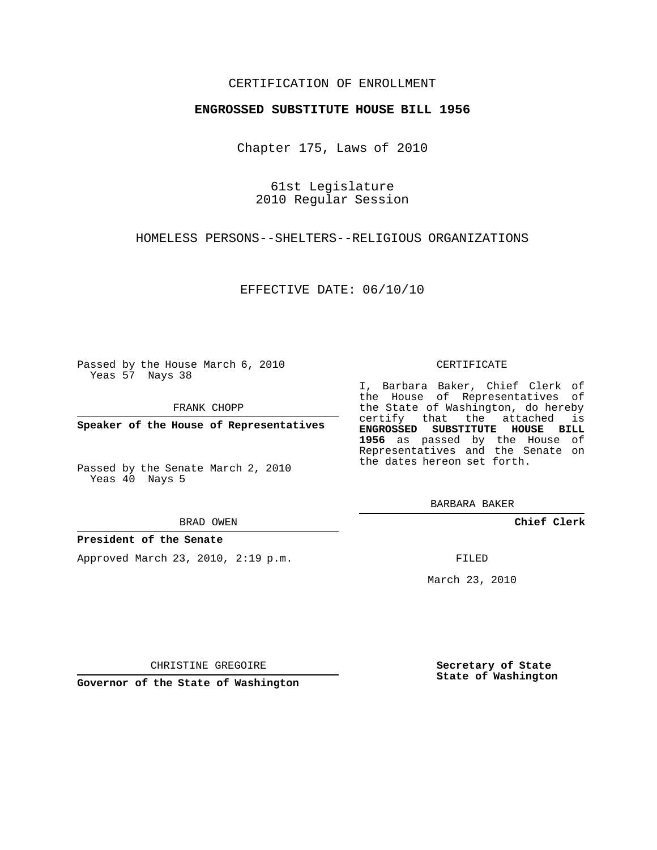### CERTIFICATION OF ENROLLMENT

#### **ENGROSSED SUBSTITUTE HOUSE BILL 1956**

Chapter 175, Laws of 2010

61st Legislature 2010 Regular Session

HOMELESS PERSONS--SHELTERS--RELIGIOUS ORGANIZATIONS

EFFECTIVE DATE: 06/10/10

Passed by the House March 6, 2010 Yeas 57 Nays 38

FRANK CHOPP

**Speaker of the House of Representatives**

Passed by the Senate March 2, 2010 Yeas 40 Nays 5

BRAD OWEN

#### **President of the Senate**

Approved March 23, 2010, 2:19 p.m.

CERTIFICATE

I, Barbara Baker, Chief Clerk of the House of Representatives of the State of Washington, do hereby certify that the attached is **ENGROSSED SUBSTITUTE HOUSE BILL 1956** as passed by the House of Representatives and the Senate on the dates hereon set forth.

BARBARA BAKER

**Chief Clerk**

FILED

March 23, 2010

CHRISTINE GREGOIRE

**Governor of the State of Washington**

**Secretary of State State of Washington**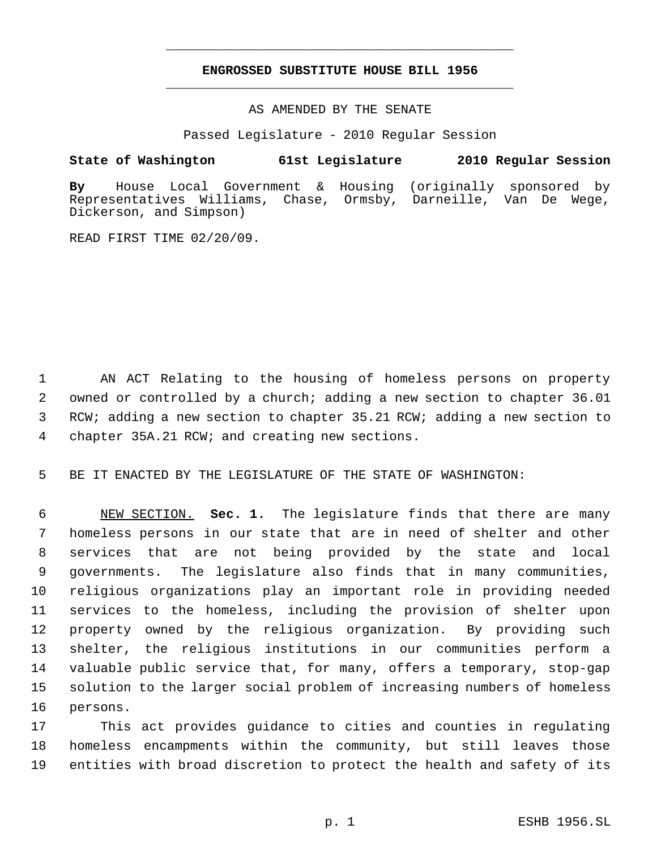# **ENGROSSED SUBSTITUTE HOUSE BILL 1956** \_\_\_\_\_\_\_\_\_\_\_\_\_\_\_\_\_\_\_\_\_\_\_\_\_\_\_\_\_\_\_\_\_\_\_\_\_\_\_\_\_\_\_\_\_

\_\_\_\_\_\_\_\_\_\_\_\_\_\_\_\_\_\_\_\_\_\_\_\_\_\_\_\_\_\_\_\_\_\_\_\_\_\_\_\_\_\_\_\_\_

AS AMENDED BY THE SENATE

Passed Legislature - 2010 Regular Session

## **State of Washington 61st Legislature 2010 Regular Session**

**By** House Local Government & Housing (originally sponsored by Representatives Williams, Chase, Ormsby, Darneille, Van De Wege, Dickerson, and Simpson)

READ FIRST TIME 02/20/09.

 AN ACT Relating to the housing of homeless persons on property owned or controlled by a church; adding a new section to chapter 36.01 RCW; adding a new section to chapter 35.21 RCW; adding a new section to chapter 35A.21 RCW; and creating new sections.

BE IT ENACTED BY THE LEGISLATURE OF THE STATE OF WASHINGTON:

 NEW SECTION. **Sec. 1.** The legislature finds that there are many homeless persons in our state that are in need of shelter and other services that are not being provided by the state and local governments. The legislature also finds that in many communities, religious organizations play an important role in providing needed services to the homeless, including the provision of shelter upon property owned by the religious organization. By providing such shelter, the religious institutions in our communities perform a valuable public service that, for many, offers a temporary, stop-gap solution to the larger social problem of increasing numbers of homeless persons.

 This act provides guidance to cities and counties in regulating homeless encampments within the community, but still leaves those entities with broad discretion to protect the health and safety of its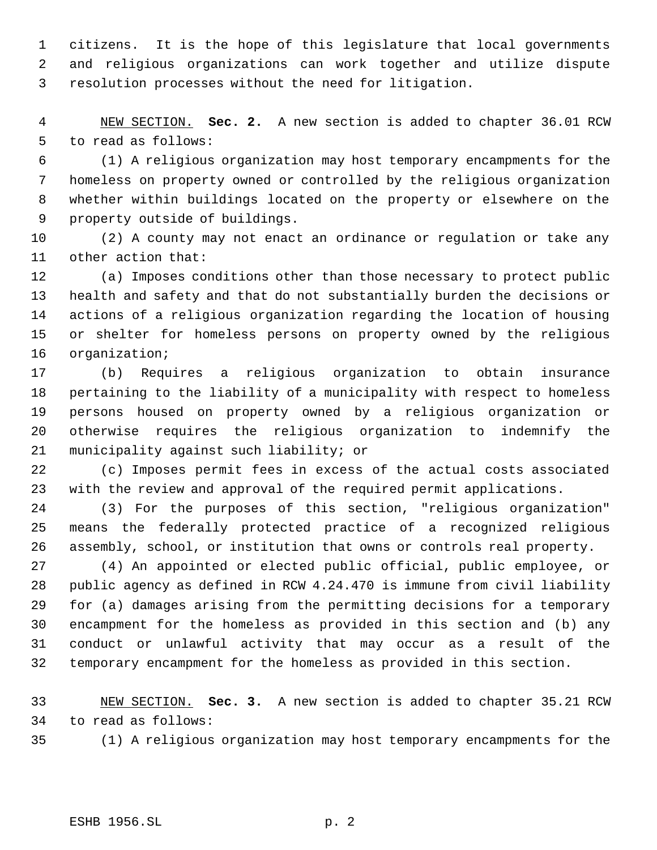citizens. It is the hope of this legislature that local governments and religious organizations can work together and utilize dispute resolution processes without the need for litigation.

 NEW SECTION. **Sec. 2.** A new section is added to chapter 36.01 RCW to read as follows:

 (1) A religious organization may host temporary encampments for the homeless on property owned or controlled by the religious organization whether within buildings located on the property or elsewhere on the property outside of buildings.

 (2) A county may not enact an ordinance or regulation or take any other action that:

 (a) Imposes conditions other than those necessary to protect public health and safety and that do not substantially burden the decisions or actions of a religious organization regarding the location of housing or shelter for homeless persons on property owned by the religious organization;

 (b) Requires a religious organization to obtain insurance pertaining to the liability of a municipality with respect to homeless persons housed on property owned by a religious organization or otherwise requires the religious organization to indemnify the municipality against such liability; or

 (c) Imposes permit fees in excess of the actual costs associated with the review and approval of the required permit applications.

 (3) For the purposes of this section, "religious organization" means the federally protected practice of a recognized religious assembly, school, or institution that owns or controls real property.

 (4) An appointed or elected public official, public employee, or public agency as defined in RCW 4.24.470 is immune from civil liability for (a) damages arising from the permitting decisions for a temporary encampment for the homeless as provided in this section and (b) any conduct or unlawful activity that may occur as a result of the temporary encampment for the homeless as provided in this section.

 NEW SECTION. **Sec. 3.** A new section is added to chapter 35.21 RCW to read as follows:

(1) A religious organization may host temporary encampments for the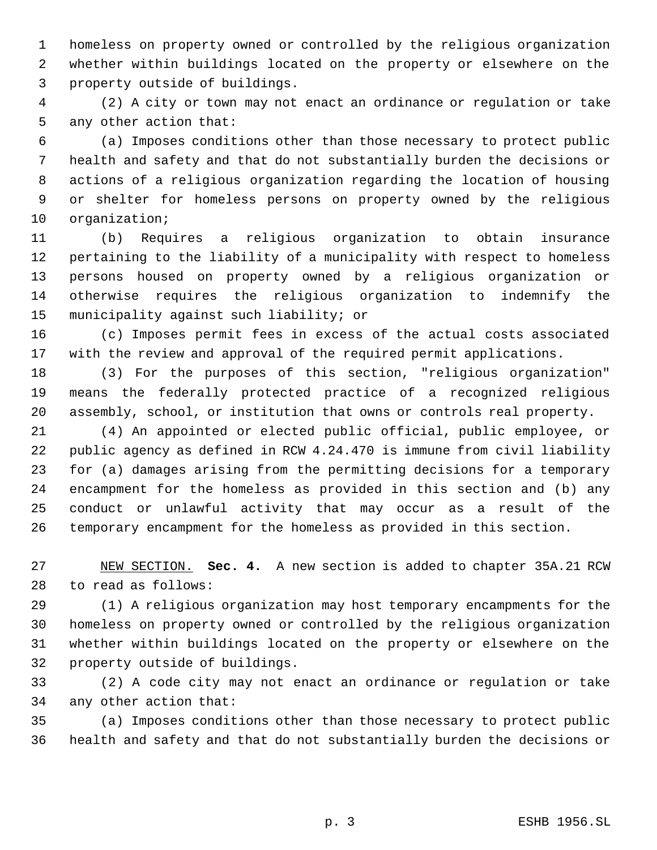homeless on property owned or controlled by the religious organization whether within buildings located on the property or elsewhere on the property outside of buildings.

 (2) A city or town may not enact an ordinance or regulation or take any other action that:

 (a) Imposes conditions other than those necessary to protect public health and safety and that do not substantially burden the decisions or actions of a religious organization regarding the location of housing or shelter for homeless persons on property owned by the religious organization;

 (b) Requires a religious organization to obtain insurance pertaining to the liability of a municipality with respect to homeless persons housed on property owned by a religious organization or otherwise requires the religious organization to indemnify the municipality against such liability; or

 (c) Imposes permit fees in excess of the actual costs associated with the review and approval of the required permit applications.

 (3) For the purposes of this section, "religious organization" means the federally protected practice of a recognized religious assembly, school, or institution that owns or controls real property.

 (4) An appointed or elected public official, public employee, or public agency as defined in RCW 4.24.470 is immune from civil liability for (a) damages arising from the permitting decisions for a temporary encampment for the homeless as provided in this section and (b) any conduct or unlawful activity that may occur as a result of the temporary encampment for the homeless as provided in this section.

 NEW SECTION. **Sec. 4.** A new section is added to chapter 35A.21 RCW to read as follows:

 (1) A religious organization may host temporary encampments for the homeless on property owned or controlled by the religious organization whether within buildings located on the property or elsewhere on the property outside of buildings.

 (2) A code city may not enact an ordinance or regulation or take any other action that:

 (a) Imposes conditions other than those necessary to protect public health and safety and that do not substantially burden the decisions or